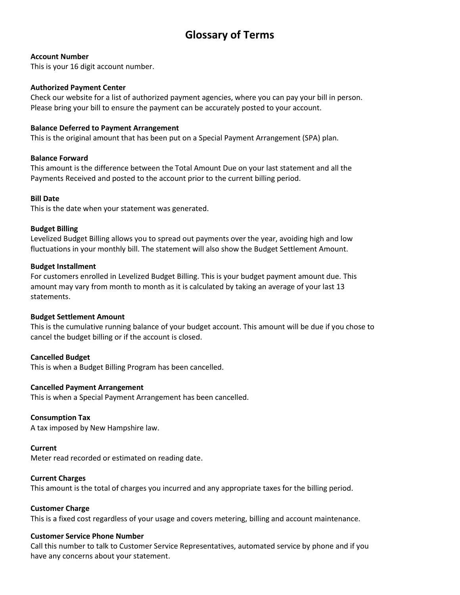# **Glossary of Terms**

# **Account Number**

This is your 16 digit account number.

# **Authorized Payment Center**

Check our website for a list of authorized payment agencies, where you can pay your bill in person. Please bring your bill to ensure the payment can be accurately posted to your account.

# **Balance Deferred to Payment Arrangement**

This is the original amount that has been put on a Special Payment Arrangement (SPA) plan.

# **Balance Forward**

This amount is the difference between the Total Amount Due on your last statement and all the Payments Received and posted to the account prior to the current billing period.

# **Bill Date**

This is the date when your statement was generated.

# **Budget Billing**

Levelized Budget Billing allows you to spread out payments over the year, avoiding high and low fluctuations in your monthly bill. The statement will also show the Budget Settlement Amount.

# **Budget Installment**

For customers enrolled in Levelized Budget Billing. This is your budget payment amount due. This amount may vary from month to month as it is calculated by taking an average of your last 13 statements.

# **Budget Settlement Amount**

This is the cumulative running balance of your budget account. This amount will be due if you chose to cancel the budget billing or if the account is closed.

# **Cancelled Budget**

This is when a Budget Billing Program has been cancelled.

# **Cancelled Payment Arrangement**

This is when a Special Payment Arrangement has been cancelled.

# **Consumption Tax**

A tax imposed by New Hampshire law.

# **Current**

Meter read recorded or estimated on reading date.

# **Current Charges**

This amount is the total of charges you incurred and any appropriate taxes for the billing period.

# **Customer Charge**

This is a fixed cost regardless of your usage and covers metering, billing and account maintenance.

# **Customer Service Phone Number**

Call this number to talk to Customer Service Representatives, automated service by phone and if you have any concerns about your statement.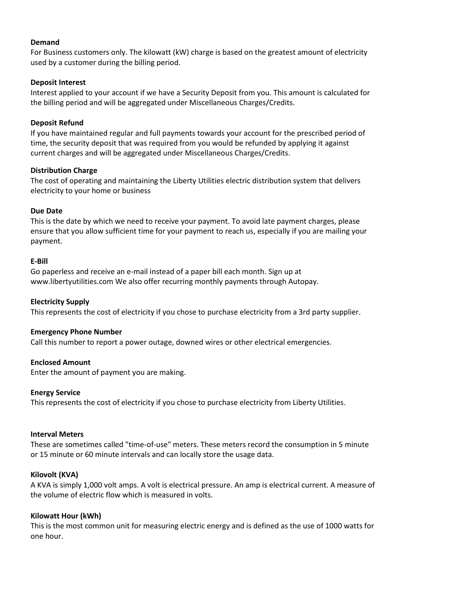#### **Demand**

For Business customers only. The kilowatt (kW) charge is based on the greatest amount of electricity used by a customer during the billing period.

# **Deposit Interest**

Interest applied to your account if we have a Security Deposit from you. This amount is calculated for the billing period and will be aggregated under Miscellaneous Charges/Credits.

# **Deposit Refund**

If you have maintained regular and full payments towards your account for the prescribed period of time, the security deposit that was required from you would be refunded by applying it against current charges and will be aggregated under Miscellaneous Charges/Credits.

# **Distribution Charge**

The cost of operating and maintaining the Liberty Utilities electric distribution system that delivers electricity to your home or business

# **Due Date**

This is the date by which we need to receive your payment. To avoid late payment charges, please ensure that you allow sufficient time for your payment to reach us, especially if you are mailing your payment.

# **E-Bill**

Go paperless and receive an e-mail instead of a paper bill each month. Sign up at [www.libertyutilities.com](http://www.libertyutilities.com/) We also offer recurring monthly payments through Autopay.

# **Electricity Supply**

This represents the cost of electricity if you chose to purchase electricity from a 3rd party supplier.

# **Emergency Phone Number**

Call this number to report a power outage, downed wires or other electrical emergencies.

# **Enclosed Amount**

Enter the amount of payment you are making.

# **Energy Service**

This represents the cost of electricity if you chose to purchase electricity from Liberty Utilities.

# **Interval Meters**

These are sometimes called "time-of-use" meters. These meters record the consumption in 5 minute or 15 minute or 60 minute intervals and can locally store the usage data.

# **Kilovolt (KVA)**

A KVA is simply 1,000 volt amps. A volt is electrical pressure. An amp is electrical current. A measure of the volume of electric flow which is measured in volts.

# **Kilowatt Hour (kWh)**

This is the most common unit for measuring electric energy and is defined as the use of 1000 watts for one hour.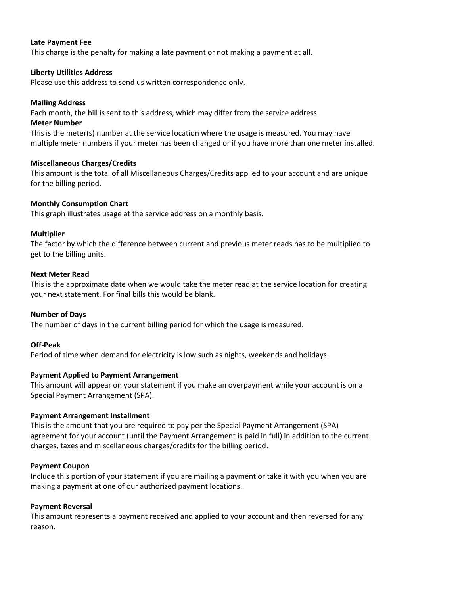#### **Late Payment Fee**

This charge is the penalty for making a late payment or not making a payment at all.

#### **Liberty Utilities Address**

Please use this address to send us written correspondence only.

#### **Mailing Address**

Each month, the bill is sent to this address, which may differ from the service address.

#### **Meter Number**

This is the meter(s) number at the service location where the usage is measured. You may have multiple meter numbers if your meter has been changed or if you have more than one meter installed.

#### **Miscellaneous Charges/Credits**

This amount is the total of all Miscellaneous Charges/Credits applied to your account and are unique for the billing period.

# **Monthly Consumption Chart**

This graph illustrates usage at the service address on a monthly basis.

#### **Multiplier**

The factor by which the difference between current and previous meter reads has to be multiplied to get to the billing units.

#### **Next Meter Read**

This is the approximate date when we would take the meter read at the service location for creating your next statement. For final bills this would be blank.

# **Number of Days**

The number of days in the current billing period for which the usage is measured.

# **Off-Peak**

Period of time when demand for electricity is low such as nights, weekends and holidays.

# **Payment Applied to Payment Arrangement**

This amount will appear on your statement if you make an overpayment while your account is on a Special Payment Arrangement (SPA).

# **Payment Arrangement Installment**

This is the amount that you are required to pay per the Special Payment Arrangement (SPA) agreement for your account (until the Payment Arrangement is paid in full) in addition to the current charges, taxes and miscellaneous charges/credits for the billing period.

#### **Payment Coupon**

Include this portion of your statement if you are mailing a payment or take it with you when you are making a payment at one of our authorized payment locations.

#### **Payment Reversal**

This amount represents a payment received and applied to your account and then reversed for any reason.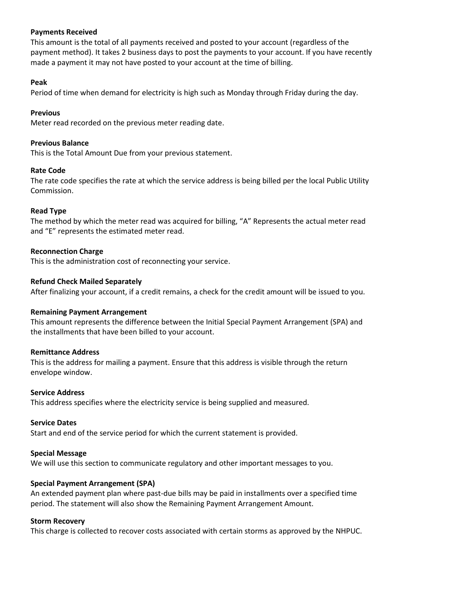# **Payments Received**

This amount is the total of all payments received and posted to your account (regardless of the payment method). It takes 2 business days to post the payments to your account. If you have recently made a payment it may not have posted to your account at the time of billing.

#### **Peak**

Period of time when demand for electricity is high such as Monday through Friday during the day.

# **Previous**

Meter read recorded on the previous meter reading date.

# **Previous Balance**

This is the Total Amount Due from your previous statement.

# **Rate Code**

The rate code specifies the rate at which the service address is being billed per the local Public Utility Commission.

# **Read Type**

The method by which the meter read was acquired for billing, "A" Represents the actual meter read and "E" represents the estimated meter read.

# **Reconnection Charge**

This is the administration cost of reconnecting your service.

# **Refund Check Mailed Separately**

After finalizing your account, if a credit remains, a check for the credit amount will be issued to you.

# **Remaining Payment Arrangement**

This amount represents the difference between the Initial Special Payment Arrangement (SPA) and the installments that have been billed to your account.

# **Remittance Address**

This is the address for mailing a payment. Ensure that this address is visible through the return envelope window.

#### **Service Address**

This address specifies where the electricity service is being supplied and measured.

# **Service Dates**

Start and end of the service period for which the current statement is provided.

# **Special Message**

We will use this section to communicate regulatory and other important messages to you.

# **Special Payment Arrangement (SPA)**

An extended payment plan where past-due bills may be paid in installments over a specified time period. The statement will also show the Remaining Payment Arrangement Amount.

# **Storm Recovery**

This charge is collected to recover costs associated with certain storms as approved by the NHPUC.